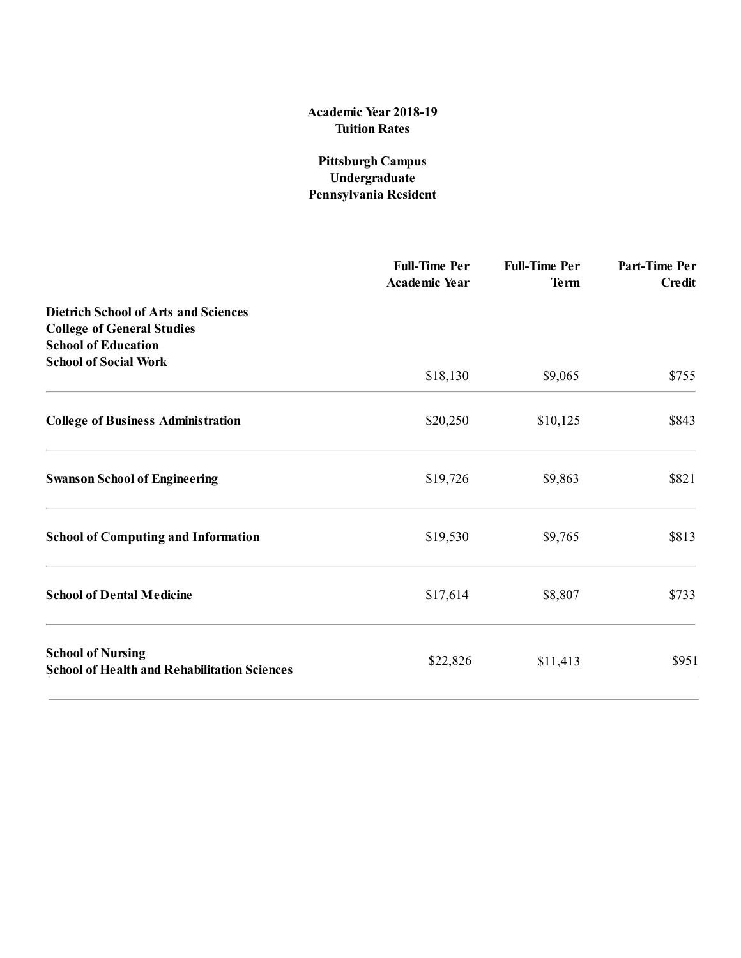# Academic Year 201**8**1**9** Tuition Rates

## Pittsburgh Campus Undergraduate Pennsylvania Resident

|                                                                                                                | <b>Full-Time Per</b><br><b>Academic Year</b> | <b>Full-Time Per</b><br><b>Term</b> | Part-Time Per<br><b>Credit</b> |
|----------------------------------------------------------------------------------------------------------------|----------------------------------------------|-------------------------------------|--------------------------------|
| <b>Dietrich School of Arts and Sciences</b><br><b>College of General Studies</b><br><b>School of Education</b> |                                              |                                     |                                |
| <b>School of Social Work</b>                                                                                   | \$18,130                                     | \$9,065                             | \$755                          |
| <b>College of Business Administration</b>                                                                      | \$20,250                                     | \$10,125                            | \$843                          |
| <b>Swanson School of Engineering</b>                                                                           | \$19,726                                     | \$9,863                             | \$821                          |
| <b>School of Computing and Information</b>                                                                     | \$19,530                                     | \$9,765                             | \$813                          |
| <b>School of Dental Medicine</b>                                                                               | \$17,614                                     | \$8,807                             | \$733                          |
| <b>School of Nursing</b><br><b>School of Health and Rehabilitation Sciences</b>                                | \$22,826                                     | \$11,413                            | \$951                          |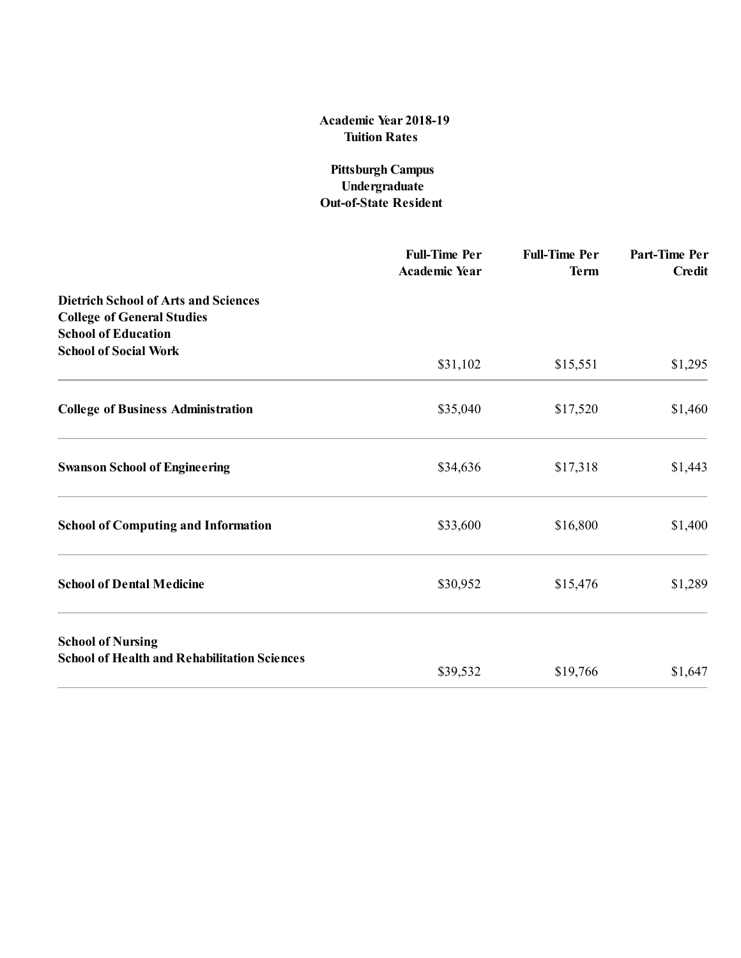### Academic Year 201**8**1**9** Tuition Rates

### Pittsburgh Campus Undergraduate Out-of-State Resident

|                                                                                                                | <b>Full-Time Per</b><br><b>Academic Year</b> | <b>Full-Time Per</b><br><b>Term</b> | Part-Time Per<br><b>Credit</b> |
|----------------------------------------------------------------------------------------------------------------|----------------------------------------------|-------------------------------------|--------------------------------|
| <b>Dietrich School of Arts and Sciences</b><br><b>College of General Studies</b><br><b>School of Education</b> |                                              |                                     |                                |
| <b>School of Social Work</b>                                                                                   | \$31,102                                     | \$15,551                            | \$1,295                        |
| <b>College of Business Administration</b>                                                                      | \$35,040                                     | \$17,520                            | \$1,460                        |
| <b>Swanson School of Engineering</b>                                                                           | \$34,636                                     | \$17,318                            | \$1,443                        |
| <b>School of Computing and Information</b>                                                                     | \$33,600                                     | \$16,800                            | \$1,400                        |
| <b>School of Dental Medicine</b>                                                                               | \$30,952                                     | \$15,476                            | \$1,289                        |
| <b>School of Nursing</b><br><b>School of Health and Rehabilitation Sciences</b>                                |                                              |                                     |                                |
|                                                                                                                | \$39,532                                     | \$19,766                            | \$1,647                        |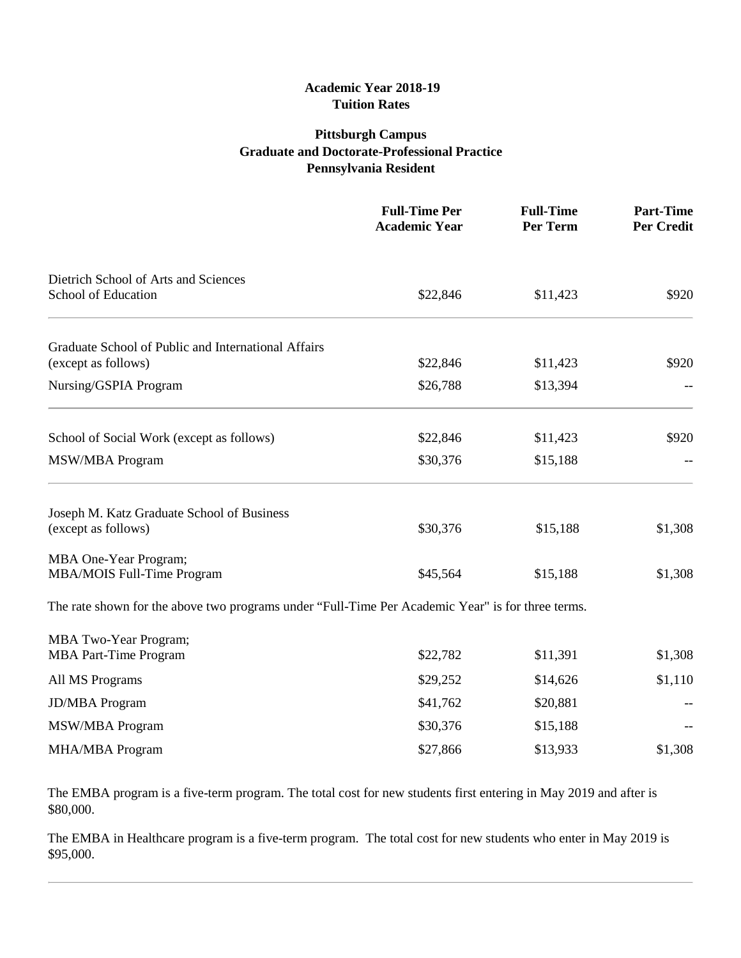#### **Academic Year 2018-19 Tuition Rates**

# **Pittsburgh Campus Graduate and Doctorate-Professional Practice Pennsylvania Resident**

|                                                                                                   | <b>Full-Time Per</b><br><b>Academic Year</b> | <b>Full-Time</b><br>Per Term | <b>Part-Time</b><br><b>Per Credit</b> |
|---------------------------------------------------------------------------------------------------|----------------------------------------------|------------------------------|---------------------------------------|
| Dietrich School of Arts and Sciences                                                              |                                              |                              |                                       |
| School of Education                                                                               | \$22,846                                     | \$11,423                     | \$920                                 |
| Graduate School of Public and International Affairs                                               |                                              |                              |                                       |
| (except as follows)                                                                               | \$22,846                                     | \$11,423                     | \$920                                 |
| Nursing/GSPIA Program                                                                             | \$26,788                                     | \$13,394                     |                                       |
| School of Social Work (except as follows)                                                         | \$22,846                                     | \$11,423                     | \$920                                 |
| <b>MSW/MBA Program</b>                                                                            | \$30,376                                     | \$15,188                     |                                       |
| Joseph M. Katz Graduate School of Business                                                        |                                              |                              |                                       |
| (except as follows)                                                                               | \$30,376                                     | \$15,188                     | \$1,308                               |
| MBA One-Year Program;                                                                             |                                              |                              |                                       |
| <b>MBA/MOIS Full-Time Program</b>                                                                 | \$45,564                                     | \$15,188                     | \$1,308                               |
| The rate shown for the above two programs under "Full-Time Per Academic Year" is for three terms. |                                              |                              |                                       |
| MBA Two-Year Program;                                                                             |                                              |                              |                                       |
| <b>MBA Part-Time Program</b>                                                                      | \$22,782                                     | \$11,391                     | \$1,308                               |
| All MS Programs                                                                                   | \$29,252                                     | \$14,626                     | \$1,110                               |
| <b>JD/MBA Program</b>                                                                             | \$41,762                                     | \$20,881                     |                                       |
| <b>MSW/MBA Program</b>                                                                            | \$30,376                                     | \$15,188                     |                                       |
| <b>MHA/MBA Program</b>                                                                            | \$27,866                                     | \$13,933                     | \$1,308                               |

The EMBA program is a five-term program. The total cost for new students first entering in May 2019 and after is \$80,000.

The EMBA in Healthcare program is a five-term program. The total cost for new students who enter in May 2019 is \$95,000.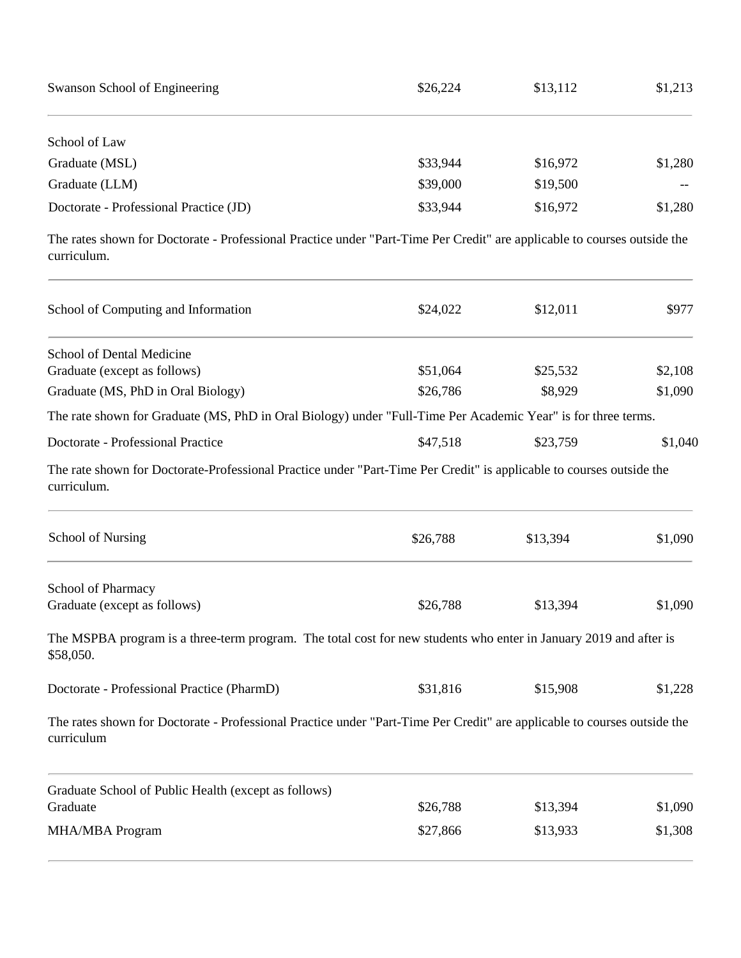| Swanson School of Engineering          | \$26,224 | \$13,112 | \$1,213 |
|----------------------------------------|----------|----------|---------|
| School of Law                          |          |          |         |
| Graduate (MSL)                         | \$33,944 | \$16,972 | \$1,280 |
| Graduate (LLM)                         | \$39,000 | \$19,500 | $- -$   |
| Doctorate - Professional Practice (JD) | \$33,944 | \$16,972 | \$1,280 |

The rates shown for Doctorate - Professional Practice under "Part-Time Per Credit" are applicable to courses outside the curriculum.

| School of Computing and Information                                                                                                    | \$24,022 | \$12,011 | \$977   |
|----------------------------------------------------------------------------------------------------------------------------------------|----------|----------|---------|
| School of Dental Medicine                                                                                                              |          |          |         |
| Graduate (except as follows)                                                                                                           | \$51,064 | \$25,532 | \$2,108 |
| Graduate (MS, PhD in Oral Biology)                                                                                                     | \$26,786 | \$8,929  | \$1,090 |
| The rate shown for Graduate (MS, PhD in Oral Biology) under "Full-Time Per Academic Year" is for three terms.                          |          |          |         |
| Doctorate - Professional Practice                                                                                                      | \$47,518 | \$23,759 | \$1,040 |
| The rate shown for Doctorate-Professional Practice under "Part-Time Per Credit" is applicable to courses outside the<br>curriculum.    |          |          |         |
| <b>School of Nursing</b>                                                                                                               | \$26,788 | \$13,394 | \$1,090 |
| School of Pharmacy                                                                                                                     |          |          |         |
| Graduate (except as follows)                                                                                                           | \$26,788 | \$13,394 | \$1,090 |
| The MSPBA program is a three-term program. The total cost for new students who enter in January 2019 and after is<br>\$58,050.         |          |          |         |
| Doctorate - Professional Practice (PharmD)                                                                                             | \$31,816 | \$15,908 | \$1,228 |
| The rates shown for Doctorate - Professional Practice under "Part-Time Per Credit" are applicable to courses outside the<br>curriculum |          |          |         |
| Graduate School of Public Health (except as follows)                                                                                   |          |          |         |
| Graduate                                                                                                                               | \$26,788 | \$13,394 | \$1,090 |
| <b>MHA/MBA Program</b>                                                                                                                 | \$27,866 | \$13,933 | \$1,308 |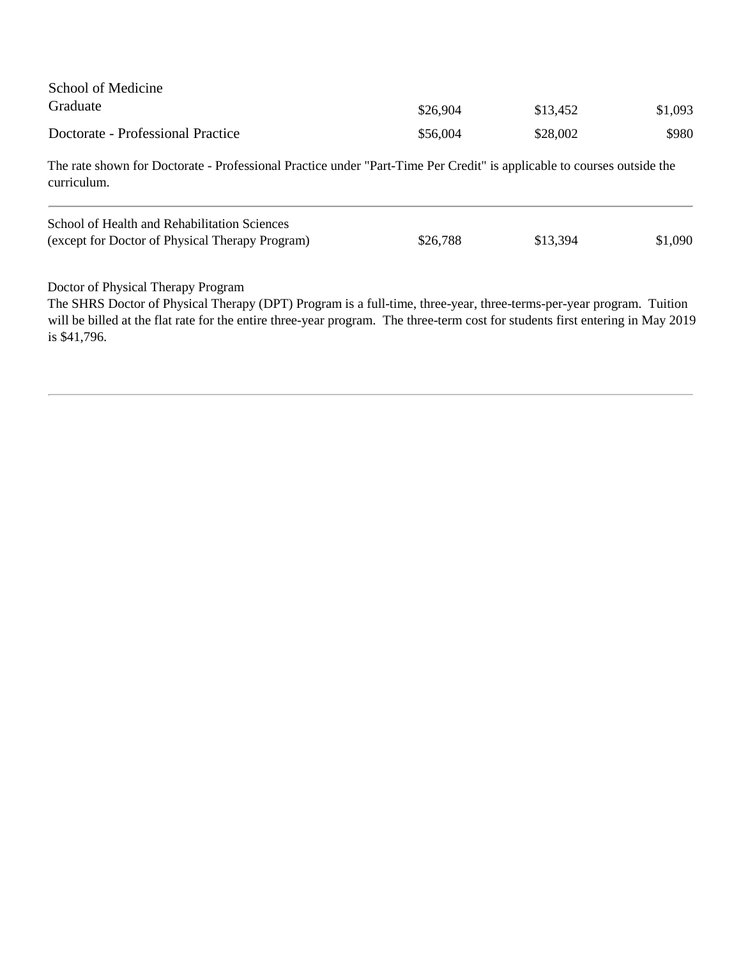| School of Medicine                                                                                                                    |          |          |         |
|---------------------------------------------------------------------------------------------------------------------------------------|----------|----------|---------|
| Graduate                                                                                                                              | \$26,904 | \$13,452 | \$1,093 |
| Doctorate - Professional Practice                                                                                                     | \$56,004 | \$28,002 | \$980   |
| The rate shown for Doctorate - Professional Practice under "Part-Time Per Credit" is applicable to courses outside the<br>curriculum. |          |          |         |
| School of Health and Rehabilitation Sciences                                                                                          |          |          |         |
| (except for Doctor of Physical Therapy Program)                                                                                       | \$26,788 | \$13,394 | \$1,090 |
|                                                                                                                                       |          |          |         |

Doctor of Physical Therapy Program

The SHRS Doctor of Physical Therapy (DPT) Program is a full-time, three-year, three-terms-per-year program. Tuition will be billed at the flat rate for the entire three-year program. The three-term cost for students first entering in May 2019 is \$41,796.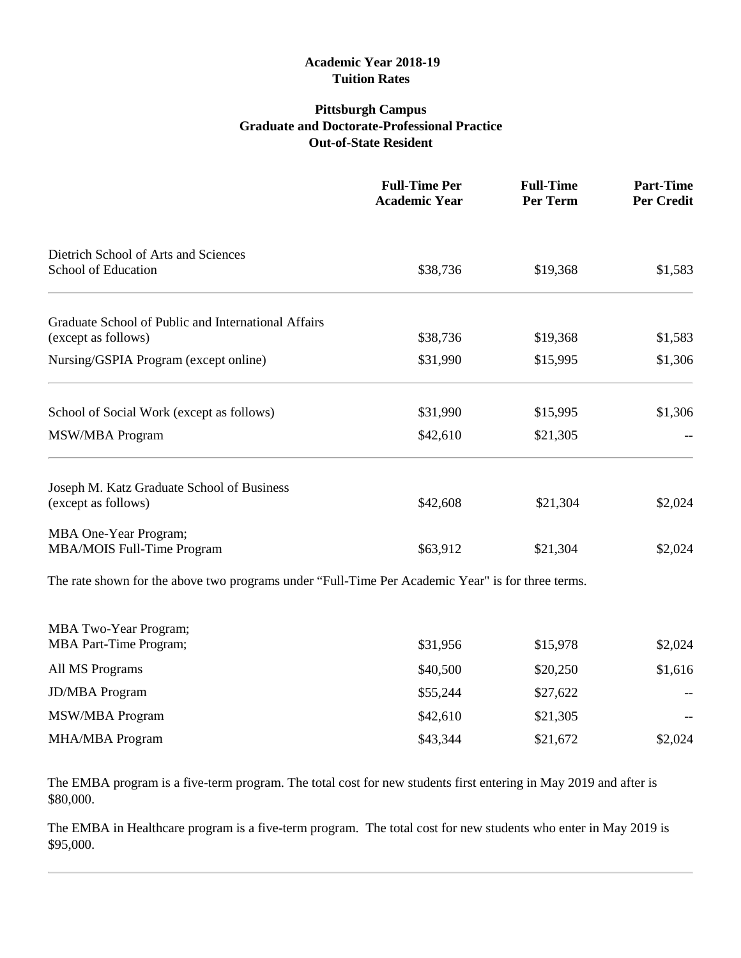#### **Academic Year 2018-19 Tuition Rates**

## **Pittsburgh Campus Graduate and Doctorate-Professional Practice Out-of-State Resident**

|                                                                                                   | <b>Full-Time Per</b><br><b>Academic Year</b> | <b>Full-Time</b><br>Per Term | <b>Part-Time</b><br><b>Per Credit</b> |
|---------------------------------------------------------------------------------------------------|----------------------------------------------|------------------------------|---------------------------------------|
| Dietrich School of Arts and Sciences<br>School of Education                                       | \$38,736                                     | \$19,368                     | \$1,583                               |
|                                                                                                   |                                              |                              |                                       |
| Graduate School of Public and International Affairs                                               |                                              |                              |                                       |
| (except as follows)                                                                               | \$38,736                                     | \$19,368                     | \$1,583                               |
| Nursing/GSPIA Program (except online)                                                             | \$31,990                                     | \$15,995                     | \$1,306                               |
| School of Social Work (except as follows)                                                         | \$31,990                                     | \$15,995                     | \$1,306                               |
| <b>MSW/MBA Program</b>                                                                            | \$42,610                                     | \$21,305                     |                                       |
| Joseph M. Katz Graduate School of Business                                                        |                                              |                              |                                       |
| (except as follows)                                                                               | \$42,608                                     | \$21,304                     | \$2,024                               |
| MBA One-Year Program;                                                                             |                                              |                              |                                       |
| MBA/MOIS Full-Time Program                                                                        | \$63,912                                     | \$21,304                     | \$2,024                               |
| The rate shown for the above two programs under "Full-Time Per Academic Year" is for three terms. |                                              |                              |                                       |
| MBA Two-Year Program;                                                                             |                                              |                              |                                       |
| <b>MBA Part-Time Program;</b>                                                                     | \$31,956                                     | \$15,978                     | \$2,024                               |
| All MS Programs                                                                                   | \$40,500                                     | \$20,250                     | \$1,616                               |
| <b>JD/MBA</b> Program                                                                             | \$55,244                                     | \$27,622                     |                                       |

The EMBA program is a five-term program. The total cost for new students first entering in May 2019 and after is

MSW/MBA Program

\$80,000.

MHA/MBA Program  $$43,344$   $$21,672$   $$2,024$ 

 $$42,610$   $$21,305$  --

The EMBA in Healthcare program is a five-term program. The total cost for new students who enter in May 2019 is \$95,000.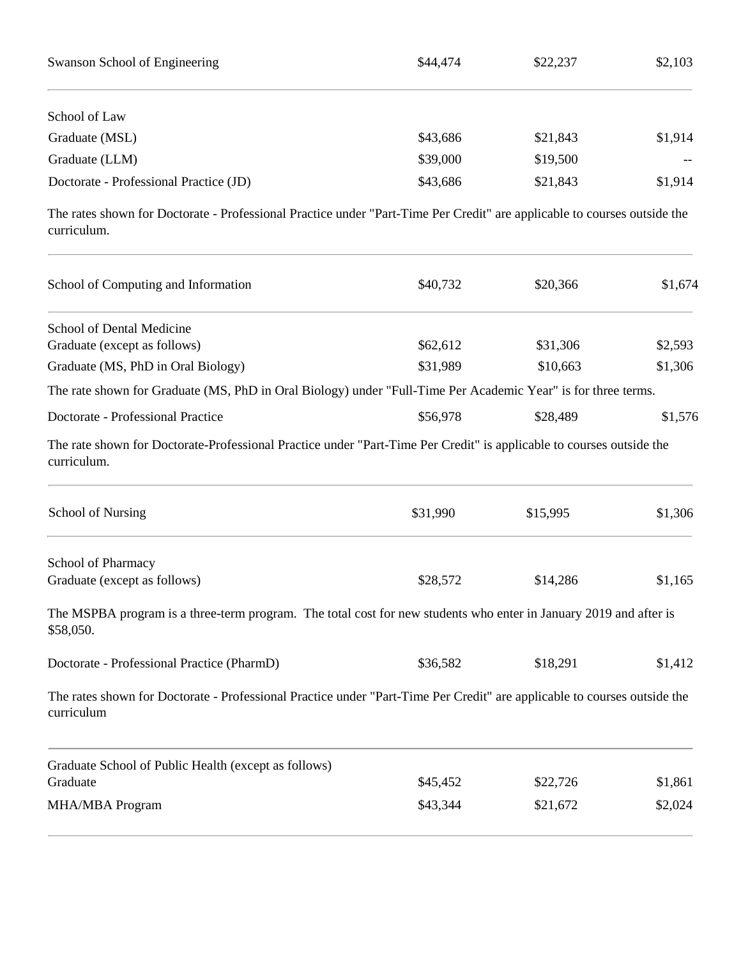| Swanson School of Engineering          | \$44,474 | \$22,237 | \$2,103 |
|----------------------------------------|----------|----------|---------|
| School of Law                          |          |          |         |
| Graduate (MSL)                         | \$43,686 | \$21,843 | \$1,914 |
| Graduate (LLM)                         | \$39,000 | \$19,500 |         |
| Doctorate - Professional Practice (JD) | \$43,686 | \$21,843 | \$1,914 |

The rates shown for Doctorate - Professional Practice under "Part-Time Per Credit" are applicable to courses outside the curriculum.

| School of Computing and Information                                                                                                    | \$40,732 | \$20,366 | \$1,674 |
|----------------------------------------------------------------------------------------------------------------------------------------|----------|----------|---------|
| School of Dental Medicine                                                                                                              |          |          |         |
| Graduate (except as follows)                                                                                                           | \$62,612 | \$31,306 | \$2,593 |
| Graduate (MS, PhD in Oral Biology)                                                                                                     | \$31,989 | \$10,663 | \$1,306 |
| The rate shown for Graduate (MS, PhD in Oral Biology) under "Full-Time Per Academic Year" is for three terms.                          |          |          |         |
| Doctorate - Professional Practice                                                                                                      | \$56,978 | \$28,489 | \$1,576 |
| The rate shown for Doctorate-Professional Practice under "Part-Time Per Credit" is applicable to courses outside the<br>curriculum.    |          |          |         |
| <b>School of Nursing</b>                                                                                                               | \$31,990 | \$15,995 | \$1,306 |
| School of Pharmacy                                                                                                                     |          |          |         |
| Graduate (except as follows)                                                                                                           | \$28,572 | \$14,286 | \$1,165 |
| The MSPBA program is a three-term program. The total cost for new students who enter in January 2019 and after is<br>\$58,050.         |          |          |         |
| Doctorate - Professional Practice (PharmD)                                                                                             | \$36,582 | \$18,291 | \$1,412 |
| The rates shown for Doctorate - Professional Practice under "Part-Time Per Credit" are applicable to courses outside the<br>curriculum |          |          |         |
| Graduate School of Public Health (except as follows)                                                                                   |          |          |         |
| Graduate                                                                                                                               | \$45,452 | \$22,726 | \$1,861 |
| <b>MHA/MBA Program</b>                                                                                                                 | \$43,344 | \$21,672 | \$2,024 |